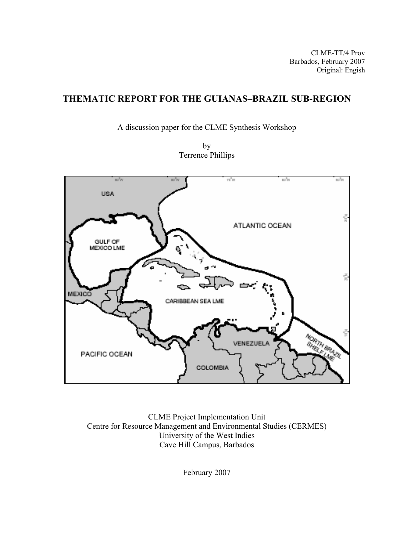CLME-TT/4 Prov Barbados, February 2007 Original: Engish

# **THEMATIC REPORT FOR THE GUIANAS–BRAZIL SUB-REGION**

A discussion paper for the CLME Synthesis Workshop

by Terrence Phillips



CLME Project Implementation Unit Centre for Resource Management and Environmental Studies (CERMES) University of the West Indies Cave Hill Campus, Barbados

February 2007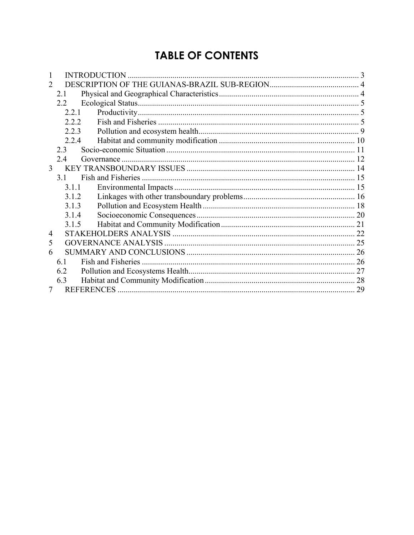# **TABLE OF CONTENTS**

| 2 |       |  |    |
|---|-------|--|----|
|   | 2.1   |  |    |
|   | 2.2   |  |    |
|   | 2.2.1 |  |    |
|   | 2.2.2 |  |    |
|   | 2.2.3 |  |    |
|   | 2.2.4 |  |    |
|   | 2.3   |  |    |
|   | 2.4   |  |    |
| 3 |       |  |    |
|   | 31    |  |    |
|   | 3.1.1 |  |    |
|   | 3.1.2 |  |    |
|   | 3.1.3 |  |    |
|   | 3.1.4 |  |    |
|   | 3.1.5 |  |    |
| 4 |       |  |    |
| 5 |       |  |    |
| 6 |       |  |    |
|   | 6.1   |  |    |
|   | 6.2   |  |    |
|   | 6.3   |  |    |
|   |       |  | 29 |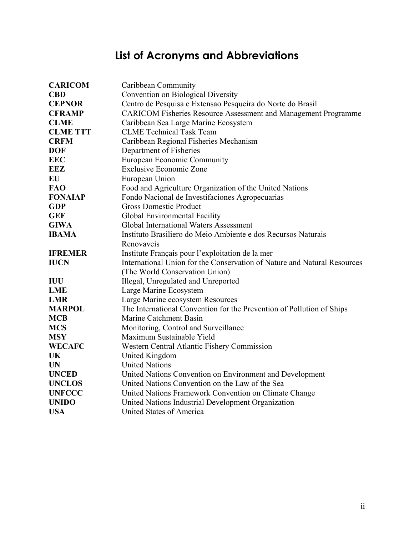# **List of Acronyms and Abbreviations**

| <b>CARICOM</b>  | Caribbean Community                                                      |
|-----------------|--------------------------------------------------------------------------|
| <b>CBD</b>      | Convention on Biological Diversity                                       |
| <b>CEPNOR</b>   | Centro de Pesquisa e Extensao Pesqueira do Norte do Brasil               |
| <b>CFRAMP</b>   | <b>CARICOM Fisheries Resource Assessment and Management Programme</b>    |
| <b>CLME</b>     | Caribbean Sea Large Marine Ecosystem                                     |
| <b>CLME TTT</b> | <b>CLME</b> Technical Task Team                                          |
| <b>CRFM</b>     | Caribbean Regional Fisheries Mechanism                                   |
| <b>DOF</b>      | Department of Fisheries                                                  |
| <b>EEC</b>      | <b>European Economic Community</b>                                       |
| EEZ             | <b>Exclusive Economic Zone</b>                                           |
| EU              | European Union                                                           |
| <b>FAO</b>      | Food and Agriculture Organization of the United Nations                  |
| <b>FONAIAP</b>  | Fondo Nacional de Investifaciones Agropecuarias                          |
| <b>GDP</b>      | <b>Gross Domestic Product</b>                                            |
| <b>GEF</b>      | Global Environmental Facility                                            |
| <b>GIWA</b>     | <b>Global International Waters Assessment</b>                            |
| <b>IBAMA</b>    | Instituto Brasiliero do Meio Ambiente e dos Recursos Naturais            |
|                 | Renovaveis                                                               |
| <b>IFREMER</b>  | Institute Français pour l'exploitation de la mer                         |
| <b>IUCN</b>     | International Union for the Conservation of Nature and Natural Resources |
|                 | (The World Conservation Union)                                           |
| IUU             | Illegal, Unregulated and Unreported                                      |
| <b>LME</b>      | Large Marine Ecosystem                                                   |
| <b>LMR</b>      | Large Marine ecosystem Resources                                         |
| <b>MARPOL</b>   | The International Convention for the Prevention of Pollution of Ships    |
| <b>MCB</b>      | Marine Catchment Basin                                                   |
| <b>MCS</b>      | Monitoring, Control and Surveillance                                     |
| <b>MSY</b>      | Maximum Sustainable Yield                                                |
| <b>WECAFC</b>   | Western Central Atlantic Fishery Commission                              |
| UK              | United Kingdom                                                           |
| <b>UN</b>       | <b>United Nations</b>                                                    |
| <b>UNCED</b>    | United Nations Convention on Environment and Development                 |
| <b>UNCLOS</b>   | United Nations Convention on the Law of the Sea                          |
| <b>UNFCCC</b>   | United Nations Framework Convention on Climate Change                    |
| <b>UNIDO</b>    | United Nations Industrial Development Organization                       |
| <b>USA</b>      | United States of America                                                 |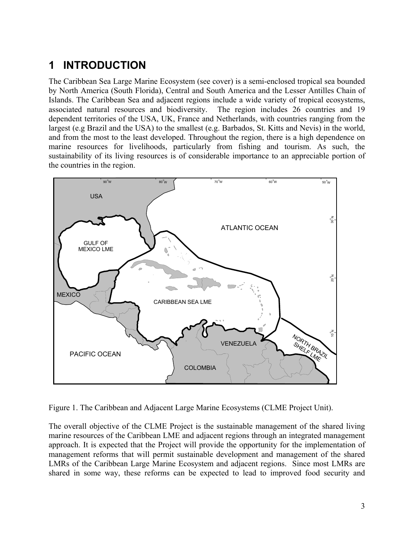# **1 INTRODUCTION**

The Caribbean Sea Large Marine Ecosystem (see cover) is a semi-enclosed tropical sea bounded by North America (South Florida), Central and South America and the Lesser Antilles Chain of Islands. The Caribbean Sea and adjacent regions include a wide variety of tropical ecosystems, associated natural resources and biodiversity. The region includes 26 countries and 19 dependent territories of the USA, UK, France and Netherlands, with countries ranging from the largest (e.g Brazil and the USA) to the smallest (e.g. Barbados, St. Kitts and Nevis) in the world, and from the most to the least developed. Throughout the region, there is a high dependence on marine resources for livelihoods, particularly from fishing and tourism. As such, the sustainability of its living resources is of considerable importance to an appreciable portion of the countries in the region.



Figure 1. The Caribbean and Adjacent Large Marine Ecosystems (CLME Project Unit).

The overall objective of the CLME Project is the sustainable management of the shared living marine resources of the Caribbean LME and adjacent regions through an integrated management approach. It is expected that the Project will provide the opportunity for the implementation of management reforms that will permit sustainable development and management of the shared LMRs of the Caribbean Large Marine Ecosystem and adjacent regions. Since most LMRs are shared in some way, these reforms can be expected to lead to improved food security and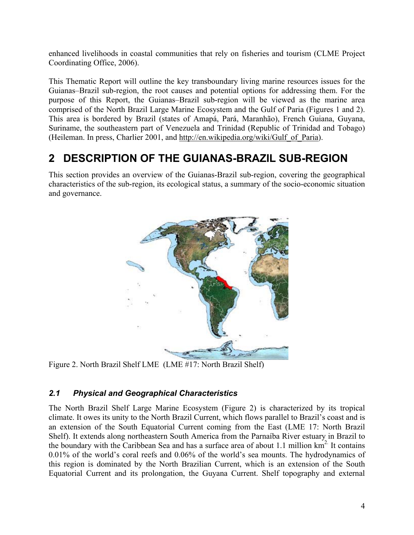enhanced livelihoods in coastal communities that rely on fisheries and tourism (CLME Project Coordinating Office, 2006).

This Thematic Report will outline the key transboundary living marine resources issues for the Guianas–Brazil sub-region, the root causes and potential options for addressing them. For the purpose of this Report, the Guianas–Brazil sub-region will be viewed as the marine area comprised of the North Brazil Large Marine Ecosystem and the Gulf of Paria (Figures 1 and 2). This area is bordered by Brazil (states of Amapá, Pará, Maranhão), French Guiana, Guyana, Suriname, the southeastern part of Venezuela and Trinidad (Republic of Trinidad and Tobago) (Heileman. In press, Charlier 2001, and http://en.wikipedia.org/wiki/Gulf\_of\_Paria).

# **2 DESCRIPTION OF THE GUIANAS-BRAZIL SUB-REGION**

This section provides an overview of the Guianas-Brazil sub-region, covering the geographical characteristics of the sub-region, its ecological status, a summary of the socio-economic situation and governance.



Figure 2. North Brazil Shelf LME (LME #17: North Brazil Shelf)

# *2.1 Physical and Geographical Characteristics*

The North Brazil Shelf Large Marine Ecosystem (Figure 2) is characterized by its tropical climate. It owes its unity to the North Brazil Current, which flows parallel to Brazil's coast and is an extension of the South Equatorial Current coming from the East (LME 17: North Brazil Shelf). It extends along northeastern South America from the Parnaíba River estuary in Brazil to the boundary with the Caribbean Sea and has a surface area of about 1.1 million  $km<sup>2</sup>$ . It contains 0.01% of the world's coral reefs and 0.06% of the world's sea mounts. The hydrodynamics of this region is dominated by the North Brazilian Current, which is an extension of the South Equatorial Current and its prolongation, the Guyana Current. Shelf topography and external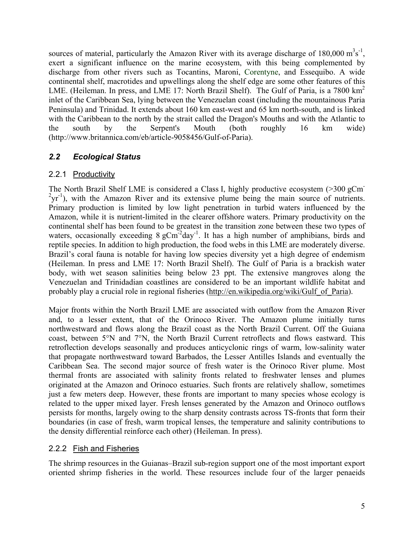sources of material, particularly the Amazon River with its average discharge of  $180,000 \text{ m}^3\text{s}^{-1}$ , exert a significant influence on the marine ecosystem, with this being complemented by discharge from other rivers such as Tocantins, Maroni, Corentyne, and Essequibo. A wide continental shelf, macrotides and upwellings along the shelf edge are some other features of this LME. (Heileman. In press, and LME 17: North Brazil Shelf). The Gulf of Paria, is a 7800  $km^2$ inlet of the Caribbean Sea, lying between the Venezuelan coast (including the mountainous Paria Peninsula) and Trinidad. It extends about 160 km east-west and 65 km north-south, and is linked with the Caribbean to the north by the strait called the Dragon's Mouths and with the Atlantic to the south by the Serpent's Mouth (both roughly 16 km wide) (http://www.britannica.com/eb/article-9058456/Gulf-of-Paria).

# *2.2 Ecological Status*

# 2.2.1 Productivity

The North Brazil Shelf LME is considered a Class I, highly productive ecosystem (>300 gCm  $2yr^{-1}$ ), with the Amazon River and its extensive plume being the main source of nutrients. Primary production is limited by low light penetration in turbid waters influenced by the Amazon, while it is nutrient-limited in the clearer offshore waters. Primary productivity on the continental shelf has been found to be greatest in the transition zone between these two types of waters, occasionally exceeding  $8 \text{ gCm}^2$ day<sup>-1</sup>. It has a high number of amphibians, birds and reptile species. In addition to high production, the food webs in this LME are moderately diverse. Brazil's coral fauna is notable for having low species diversity yet a high degree of endemism (Heileman. In press and LME 17: North Brazil Shelf). The Gulf of Paria is a brackish water body, with wet season salinities being below 23 ppt. The extensive mangroves along the Venezuelan and Trinidadian coastlines are considered to be an important wildlife habitat and probably play a crucial role in regional fisheries (http://en.wikipedia.org/wiki/Gulf\_of\_Paria).

Major fronts within the North Brazil LME are associated with outflow from the Amazon River and, to a lesser extent, that of the Orinoco River. The Amazon plume initially turns northwestward and flows along the Brazil coast as the North Brazil Current. Off the Guiana coast, between 5°N and 7°N, the North Brazil Current retroflects and flows eastward. This retroflection develops seasonally and produces anticyclonic rings of warm, low-salinity water that propagate northwestward toward Barbados, the Lesser Antilles Islands and eventually the Caribbean Sea. The second major source of fresh water is the Orinoco River plume. Most thermal fronts are associated with salinity fronts related to freshwater lenses and plumes originated at the Amazon and Orinoco estuaries. Such fronts are relatively shallow, sometimes just a few meters deep. However, these fronts are important to many species whose ecology is related to the upper mixed layer. Fresh lenses generated by the Amazon and Orinoco outflows persists for months, largely owing to the sharp density contrasts across TS-fronts that form their boundaries (in case of fresh, warm tropical lenses, the temperature and salinity contributions to the density differential reinforce each other) (Heileman. In press).

#### 2.2.2 Fish and Fisheries

The shrimp resources in the Guianas–Brazil sub-region support one of the most important export oriented shrimp fisheries in the world. These resources include four of the larger penaeids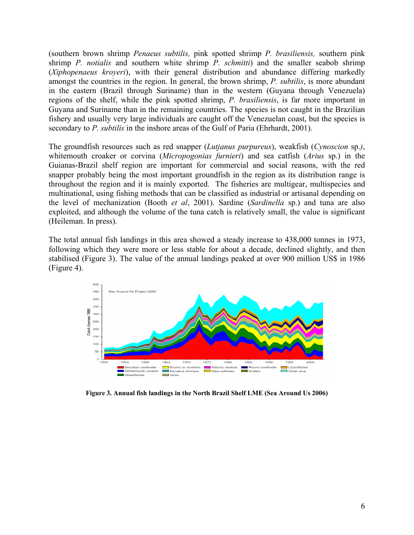(southern brown shrimp *Penaeus subtilis,* pink spotted shrimp *P. brasiliensis,* southern pink shrimp *P. notialis* and southern white shrimp *P. schmitti*) and the smaller seabob shrimp (*Xiphopenaeus kroyeri*), with their general distribution and abundance differing markedly amongst the countries in the region. In general, the brown shrimp, *P. subtilis*, is more abundant in the eastern (Brazil through Suriname) than in the western (Guyana through Venezuela) regions of the shelf, while the pink spotted shrimp, *P. brasiliensis*, is far more important in Guyana and Suriname than in the remaining countries. The species is not caught in the Brazilian fishery and usually very large individuals are caught off the Venezuelan coast, but the species is secondary to *P. subtilis* in the inshore areas of the Gulf of Paria (Ehrhardt, 2001).

The groundfish resources such as red snapper (*Lutjanus purpureus*), weakfish (*Cynoscion* sp.*)*, whitemouth croaker or corvina (*Micropogonias furnieri*) and sea catfish (*Arius* sp.) in the Guianas-Brazil shelf region are important for commercial and social reasons, with the red snapper probably being the most important groundfish in the region as its distribution range is throughout the region and it is mainly exported. The fisheries are multigear, multispecies and multinational, using fishing methods that can be classified as industrial or artisanal depending on the level of mechanization (Booth *et al*, 2001). Sardine (*Sardinella* sp.) and tuna are also exploited, and although the volume of the tuna catch is relatively small, the value is significant (Heileman. In press).

The total annual fish landings in this area showed a steady increase to 438,000 tonnes in 1973, following which they were more or less stable for about a decade, declined slightly, and then stabilised (Figure 3). The value of the annual landings peaked at over 900 million US\$ in 1986 (Figure 4).



**Figure 3. Annual fish landings in the North Brazil Shelf LME (Sea Around Us 2006)**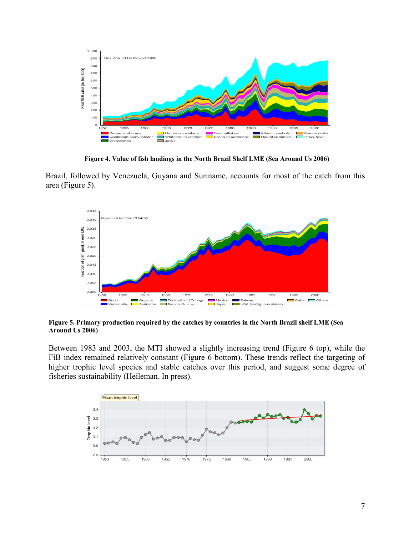

**Figure 4. Value of fish landings in the North Brazil Shelf LME (Sea Around Us 2006)** 

Brazil, followed by Venezuela, Guyana and Suriname, accounts for most of the catch from this area (Figure 5).



**Figure 5. Primary production required by the catches by countries in the North Brazil shelf LME (Sea Around Us 2006)** 

Between 1983 and 2003, the MTI showed a slightly increasing trend (Figure 6 top), while the FiB index remained relatively constant (Figure 6 bottom). These trends reflect the targeting of higher trophic level species and stable catches over this period, and suggest some degree of fisheries sustainability (Heileman. In press).

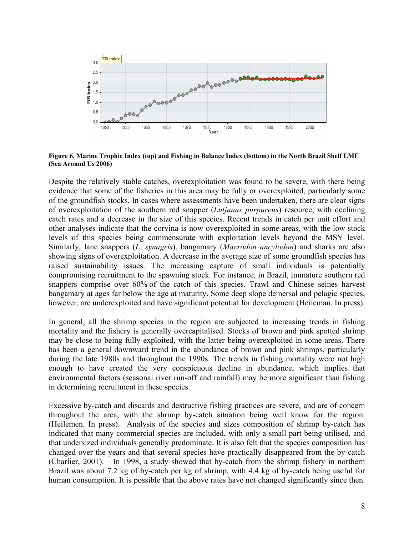

**Figure 6. Marine Trophic Index (top) and Fishing in Balance Index (bottom) in the North Brazil Shelf LME (Sea Around Us 2006)**

Despite the relatively stable catches, overexploitation was found to be severe, with there being evidence that some of the fisheries in this area may be fully or overexploited, particularly some of the groundfish stocks. In cases where assessments have been undertaken, there are clear signs of overexploitation of the southern red snapper (*Lutjanus purpureus*) resource, with declining catch rates and a decrease in the size of this species. Recent trends in catch per unit effort and other analyses indicate that the corvina is now overexploited in some areas, with the low stock levels of this species being commensurate with exploitation levels beyond the MSY level. Similarly, lane snappers (*L*. *synagris*), bangamary (*Macrodon ancylodon*) and sharks are also showing signs of overexploitation. A decrease in the average size of some groundfish species has raised sustainability issues. The increasing capture of small individuals is potentially compromising recruitment to the spawning stock. For instance, in Brazil, immature southern red snappers comprise over 60% of the catch of this species. Trawl and Chinese seines harvest bangamary at ages far below the age at maturity. Some deep slope demersal and pelagic species, however, are underexploited and have significant potential for development (Heileman. In press).

In general, all the shrimp species in the region are subjected to increasing trends in fishing mortality and the fishery is generally overcapitalised. Stocks of brown and pink spotted shrimp may be close to being fully exploited, with the latter being overexploited in some areas. There has been a general downward trend in the abundance of brown and pink shrimps, particularly during the late 1980s and throughout the 1990s. The trends in fishing mortality were not high enough to have created the very conspicuous decline in abundance, which implies that environmental factors (seasonal river run-off and rainfall) may be more significant than fishing in determining recruitment in these species.

Excessive by-catch and discards and destructive fishing practices are severe, and are of concern throughout the area, with the shrimp by-catch situation being well know for the region. (Heilemen. In press). Analysis of the species and sizes composition of shrimp by-catch has indicated that many commercial species are included, with only a small part being utilised, and that undersized individuals generally predominate. It is also felt that the species composition has changed over the years and that several species have practically disappeared from the by-catch (Charlier, 2001). In 1998, a study showed that by-catch from the shrimp fishery in northern Brazil was about 7.2 kg of by-catch per kg of shrimp, with 4.4 kg of by-catch being useful for human consumption. It is possible that the above rates have not changed significantly since then.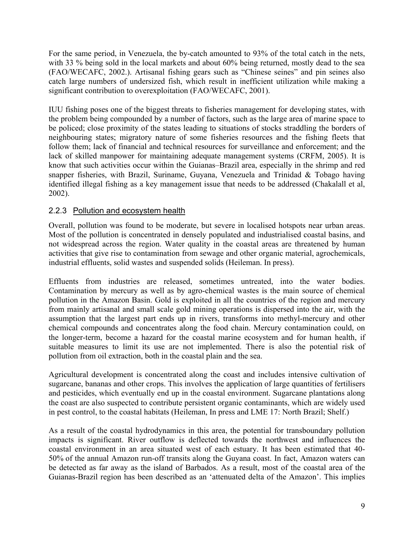For the same period, in Venezuela, the by-catch amounted to 93% of the total catch in the nets, with 33 % being sold in the local markets and about 60% being returned, mostly dead to the sea (FAO/WECAFC, 2002.). Artisanal fishing gears such as "Chinese seines" and pin seines also catch large numbers of undersized fish, which result in inefficient utilization while making a significant contribution to overexploitation (FAO/WECAFC, 2001).

IUU fishing poses one of the biggest threats to fisheries management for developing states, with the problem being compounded by a number of factors, such as the large area of marine space to be policed; close proximity of the states leading to situations of stocks straddling the borders of neighbouring states; migratory nature of some fisheries resources and the fishing fleets that follow them; lack of financial and technical resources for surveillance and enforcement; and the lack of skilled manpower for maintaining adequate management systems (CRFM, 2005). It is know that such activities occur within the Guianas–Brazil area, especially in the shrimp and red snapper fisheries, with Brazil, Suriname, Guyana, Venezuela and Trinidad & Tobago having identified illegal fishing as a key management issue that needs to be addressed (Chakalall et al, 2002).

# 2.2.3 Pollution and ecosystem health

Overall, pollution was found to be moderate, but severe in localised hotspots near urban areas. Most of the pollution is concentrated in densely populated and industrialised coastal basins, and not widespread across the region. Water quality in the coastal areas are threatened by human activities that give rise to contamination from sewage and other organic material, agrochemicals, industrial effluents, solid wastes and suspended solids (Heileman. In press).

Effluents from industries are released, sometimes untreated, into the water bodies. Contamination by mercury as well as by agro-chemical wastes is the main source of chemical pollution in the Amazon Basin. Gold is exploited in all the countries of the region and mercury from mainly artisanal and small scale gold mining operations is dispersed into the air, with the assumption that the largest part ends up in rivers, transforms into methyl-mercury and other chemical compounds and concentrates along the food chain. Mercury contamination could, on the longer-term, become a hazard for the coastal marine ecosystem and for human health, if suitable measures to limit its use are not implemented. There is also the potential risk of pollution from oil extraction, both in the coastal plain and the sea.

Agricultural development is concentrated along the coast and includes intensive cultivation of sugarcane, bananas and other crops. This involves the application of large quantities of fertilisers and pesticides, which eventually end up in the coastal environment. Sugarcane plantations along the coast are also suspected to contribute persistent organic contaminants, which are widely used in pest control, to the coastal habitats (Heileman, In press and LME 17: North Brazil; Shelf.)

As a result of the coastal hydrodynamics in this area, the potential for transboundary pollution impacts is significant. River outflow is deflected towards the northwest and influences the coastal environment in an area situated west of each estuary. It has been estimated that 40- 50% of the annual Amazon run-off transits along the Guyana coast. In fact, Amazon waters can be detected as far away as the island of Barbados. As a result, most of the coastal area of the Guianas-Brazil region has been described as an 'attenuated delta of the Amazon'. This implies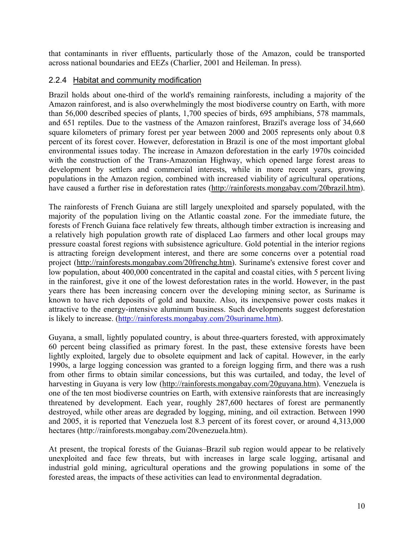that contaminants in river effluents, particularly those of the Amazon, could be transported across national boundaries and EEZs (Charlier, 2001 and Heileman. In press).

#### 2.2.4 Habitat and community modification

Brazil holds about one-third of the world's remaining rainforests, including a majority of the Amazon rainforest, and is also overwhelmingly the most biodiverse country on Earth, with more than 56,000 described species of plants, 1,700 species of birds, 695 amphibians, 578 mammals, and 651 reptiles. Due to the vastness of the Amazon rainforest, Brazil's average loss of 34,660 square kilometers of primary forest per year between 2000 and 2005 represents only about 0.8 percent of its forest cover. However, deforestation in Brazil is one of the most important global environmental issues today. The increase in Amazon deforestation in the early 1970s coincided with the construction of the Trans-Amazonian Highway, which opened large forest areas to development by settlers and commercial interests, while in more recent years, growing populations in the Amazon region, combined with increased viability of agricultural operations, have caused a further rise in deforestation rates (http://rainforests.mongabay.com/20brazil.htm).

The rainforests of French Guiana are still largely unexploited and sparsely populated, with the majority of the population living on the Atlantic coastal zone. For the immediate future, the forests of French Guiana face relatively few threats, although timber extraction is increasing and a relatively high population growth rate of displaced Lao farmers and other local groups may pressure coastal forest regions with subsistence agriculture. Gold potential in the interior regions is attracting foreign development interest, and there are some concerns over a potential road project (http://rainforests.mongabay.com/20frenchg.htm). Suriname's extensive forest cover and low population, about 400,000 concentrated in the capital and coastal cities, with 5 percent living in the rainforest, give it one of the lowest deforestation rates in the world. However, in the past years there has been increasing concern over the developing mining sector, as Suriname is known to have rich deposits of gold and bauxite. Also, its inexpensive power costs makes it attractive to the energy-intensive aluminum business. Such developments suggest deforestation is likely to increase. (http://rainforests.mongabay.com/20suriname.htm).

Guyana, a small, lightly populated country, is about three-quarters forested, with approximately 60 percent being classified as primary forest. In the past, these extensive forests have been lightly exploited, largely due to obsolete equipment and lack of capital. However, in the early 1990s, a large logging concession was granted to a foreign logging firm, and there was a rush from other firms to obtain similar concessions, but this was curtailed, and today, the level of harvesting in Guyana is very low (http://rainforests.mongabay.com/20guyana.htm). Venezuela is one of the ten most biodiverse countries on Earth, with extensive rainforests that are increasingly threatened by development. Each year, roughly 287,600 hectares of forest are permanently destroyed, while other areas are degraded by logging, mining, and oil extraction. Between 1990 and 2005, it is reported that Venezuela lost 8.3 percent of its forest cover, or around 4,313,000 hectares (http://rainforests.mongabay.com/20venezuela.htm).

At present, the tropical forests of the Guianas–Brazil sub region would appear to be relatively unexploited and face few threats, but with increases in large scale logging, artisanal and industrial gold mining, agricultural operations and the growing populations in some of the forested areas, the impacts of these activities can lead to environmental degradation.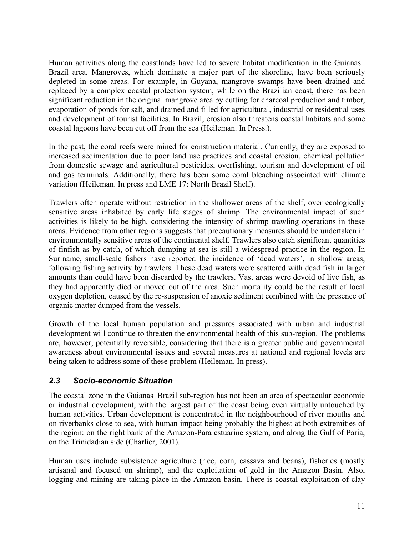Human activities along the coastlands have led to severe habitat modification in the Guianas– Brazil area. Mangroves, which dominate a major part of the shoreline, have been seriously depleted in some areas. For example, in Guyana, mangrove swamps have been drained and replaced by a complex coastal protection system, while on the Brazilian coast, there has been significant reduction in the original mangrove area by cutting for charcoal production and timber, evaporation of ponds for salt, and drained and filled for agricultural, industrial or residential uses and development of tourist facilities. In Brazil, erosion also threatens coastal habitats and some coastal lagoons have been cut off from the sea (Heileman. In Press.).

In the past, the coral reefs were mined for construction material. Currently, they are exposed to increased sedimentation due to poor land use practices and coastal erosion, chemical pollution from domestic sewage and agricultural pesticides, overfishing, tourism and development of oil and gas terminals. Additionally, there has been some coral bleaching associated with climate variation (Heileman. In press and LME 17: North Brazil Shelf).

Trawlers often operate without restriction in the shallower areas of the shelf, over ecologically sensitive areas inhabited by early life stages of shrimp. The environmental impact of such activities is likely to be high, considering the intensity of shrimp trawling operations in these areas. Evidence from other regions suggests that precautionary measures should be undertaken in environmentally sensitive areas of the continental shelf. Trawlers also catch significant quantities of finfish as by-catch, of which dumping at sea is still a widespread practice in the region. In Suriname, small-scale fishers have reported the incidence of 'dead waters', in shallow areas, following fishing activity by trawlers. These dead waters were scattered with dead fish in larger amounts than could have been discarded by the trawlers. Vast areas were devoid of live fish, as they had apparently died or moved out of the area. Such mortality could be the result of local oxygen depletion, caused by the re-suspension of anoxic sediment combined with the presence of organic matter dumped from the vessels.

Growth of the local human population and pressures associated with urban and industrial development will continue to threaten the environmental health of this sub-region. The problems are, however, potentially reversible, considering that there is a greater public and governmental awareness about environmental issues and several measures at national and regional levels are being taken to address some of these problem (Heileman. In press).

# *2.3 Socio-economic Situation*

The coastal zone in the Guianas–Brazil sub-region has not been an area of spectacular economic or industrial development, with the largest part of the coast being even virtually untouched by human activities. Urban development is concentrated in the neighbourhood of river mouths and on riverbanks close to sea, with human impact being probably the highest at both extremities of the region: on the right bank of the Amazon-Para estuarine system, and along the Gulf of Paria, on the Trinidadian side (Charlier, 2001).

Human uses include subsistence agriculture (rice, corn, cassava and beans), fisheries (mostly artisanal and focused on shrimp), and the exploitation of gold in the Amazon Basin. Also, logging and mining are taking place in the Amazon basin. There is coastal exploitation of clay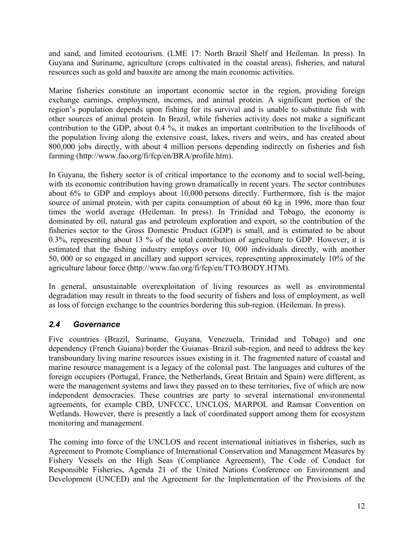and sand, and limited ecotourism. (LME 17: North Brazil Shelf and Heileman. In press). In Guyana and Suriname, agriculture (crops cultivated in the coastal areas), fisheries, and natural resources such as gold and bauxite are among the main economic activities.

Marine fisheries constitute an important economic sector in the region, providing foreign exchange earnings, employment, incomes, and animal protein. A significant portion of the region's population depends upon fishing for its survival and is unable to substitute fish with other sources of animal protein. In Brazil, while fisheries activity does not make a significant contribution to the GDP, about 0.4 %, it makes an important contribution to the livelihoods of the population living along the extensive coast, lakes, rivers and weirs, and has created about 800,000 jobs directly, with about 4 million persons depending indirectly on fisheries and fish farming (http://www.fao.org/fi/fcp/en/BRA/profile.htm).

In Guyana, the fishery sector is of critical importance to the economy and to social well-being, with its economic contribution having grown dramatically in recent years. The sector contributes about 6% to GDP and employs about 10,000 persons directly. Furthermore, fish is the major source of animal protein, with per capita consumption of about 60 kg in 1996, more than four times the world average (Heileman. In press). In Trinidad and Tobago, the economy is dominated by oil, natural gas and petroleum exploration and export, so the contribution of the fisheries sector to the Gross Domestic Product (GDP) is small, and is estimated to be about 0.3%, representing about 13 % of the total contribution of agriculture to GDP. However, it is estimated that the fishing industry employs over 10, 000 individuals directly, with another 50, 000 or so engaged in ancillary and support services, representing approximately 10% of the agriculture labour force (http://www.fao.org/fi/fcp/en/TTO/BODY.HTM).

In general, unsustainable overexploitation of living resources as well as environmental degradation may result in threats to the food security of fishers and loss of employment, as well as loss of foreign exchange to the countries bordering this sub-region. (Heileman. In press).

# *2.4 Governance*

Five countries (Brazil, Suriname, Guyana, Venezuela, Trinidad and Tobago) and one dependency (French Guiana) border the Guianas–Brazil sub-region, and need to address the key transboundary living marine resources issues existing in it. The fragmented nature of coastal and marine resource management is a legacy of the colonial past. The languages and cultures of the foreign occupiers (Portugal, France, the Netherlands, Great Britain and Spain) were different, as were the management systems and laws they passed on to these territories, five of which are now independent democracies. These countries are party to several international environmental agreements, for example CBD, UNFCCC, UNCLOS, MARPOL and Ramsar Convention on Wetlands. However, there is presently a lack of coordinated support among them for ecosystem monitoring and management.

The coming into force of the UNCLOS and recent international initiatives in fisheries, such as Agreement to Promote Compliance of International Conservation and Management Measures by Fishery Vessels on the High Seas (Compliance Agreement), The Code of Conduct for Responsible Fisheries, Agenda 21 of the United Nations Conference on Environment and Development (UNCED) and the Agreement for the Implementation of the Provisions of the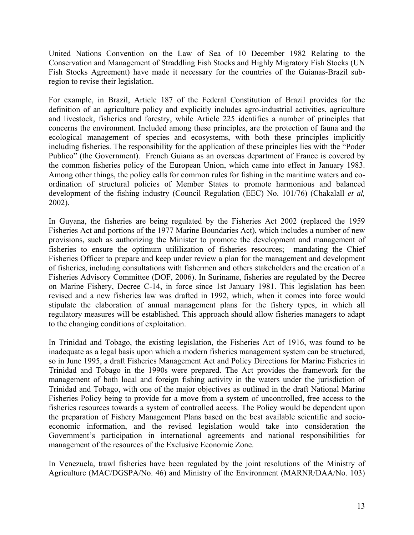United Nations Convention on the Law of Sea of 10 December 1982 Relating to the Conservation and Management of Straddling Fish Stocks and Highly Migratory Fish Stocks (UN Fish Stocks Agreement) have made it necessary for the countries of the Guianas-Brazil subregion to revise their legislation.

For example, in Brazil, Article 187 of the Federal Constitution of Brazil provides for the definition of an agriculture policy and explicitly includes agro-industrial activities, agriculture and livestock, fisheries and forestry, while Article 225 identifies a number of principles that concerns the environment. Included among these principles, are the protection of fauna and the ecological management of species and ecosystems, with both these principles implicitly including fisheries. The responsibility for the application of these principles lies with the "Poder Publico" (the Government). French Guiana as an overseas department of France is covered by the common fisheries policy of the European Union, which came into effect in January 1983. Among other things, the policy calls for common rules for fishing in the maritime waters and coordination of structural policies of Member States to promote harmonious and balanced development of the fishing industry (Council Regulation (EEC) No. 101/76) (Chakalall *et al,* 2002).

In Guyana, the fisheries are being regulated by the Fisheries Act 2002 (replaced the 1959 Fisheries Act and portions of the 1977 Marine Boundaries Act), which includes a number of new provisions, such as authorizing the Minister to promote the development and management of fisheries to ensure the optimum utililization of fisheries resources; mandating the Chief Fisheries Officer to prepare and keep under review a plan for the management and development of fisheries, including consultations with fishermen and others stakeholders and the creation of a Fisheries Advisory Committee (DOF, 2006). In Suriname, fisheries are regulated by the Decree on Marine Fishery, Decree C-14, in force since 1st January 1981. This legislation has been revised and a new fisheries law was drafted in 1992, which, when it comes into force would stipulate the elaboration of annual management plans for the fishery types, in which all regulatory measures will be established. This approach should allow fisheries managers to adapt to the changing conditions of exploitation.

In Trinidad and Tobago, the existing legislation, the Fisheries Act of 1916, was found to be inadequate as a legal basis upon which a modern fisheries management system can be structured, so in June 1995, a draft Fisheries Management Act and Policy Directions for Marine Fisheries in Trinidad and Tobago in the 1990s were prepared. The Act provides the framework for the management of both local and foreign fishing activity in the waters under the jurisdiction of Trinidad and Tobago, with one of the major objectives as outlined in the draft National Marine Fisheries Policy being to provide for a move from a system of uncontrolled, free access to the fisheries resources towards a system of controlled access. The Policy would be dependent upon the preparation of Fishery Management Plans based on the best available scientific and socioeconomic information, and the revised legislation would take into consideration the Government's participation in international agreements and national responsibilities for management of the resources of the Exclusive Economic Zone.

In Venezuela, trawl fisheries have been regulated by the joint resolutions of the Ministry of Agriculture (MAC/DGSPA/No. 46) and Ministry of the Environment (MARNR/DAA/No. 103)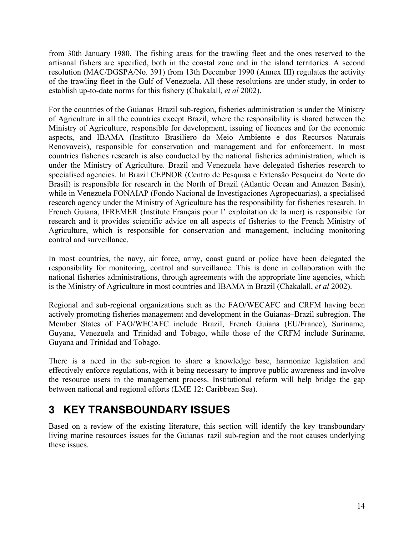from 30th January 1980. The fishing areas for the trawling fleet and the ones reserved to the artisanal fishers are specified, both in the coastal zone and in the island territories. A second resolution (MAC/DGSPA/No. 391) from 13th December 1990 (Annex III) regulates the activity of the trawling fleet in the Gulf of Venezuela. All these resolutions are under study, in order to establish up-to-date norms for this fishery (Chakalall, *et al* 2002).

For the countries of the Guianas–Brazil sub-region, fisheries administration is under the Ministry of Agriculture in all the countries except Brazil, where the responsibility is shared between the Ministry of Agriculture, responsible for development, issuing of licences and for the economic aspects, and IBAMA (Instituto Brasiliero do Meio Ambiente e dos Recursos Naturais Renovaveis), responsible for conservation and management and for enforcement. In most countries fisheries research is also conducted by the national fisheries administration, which is under the Ministry of Agriculture. Brazil and Venezuela have delegated fisheries research to specialised agencies. In Brazil CEPNOR (Centro de Pesquisa e Extensão Pesqueira do Norte do Brasil) is responsible for research in the North of Brazil (Atlantic Ocean and Amazon Basin), while in Venezuela FONAIAP (Fondo Nacional de Investigaciones Agropecuarias), a specialised research agency under the Ministry of Agriculture has the responsibility for fisheries research. In French Guiana, IFREMER (Institute Français pour l' exploitation de la mer) is responsible for research and it provides scientific advice on all aspects of fisheries to the French Ministry of Agriculture, which is responsible for conservation and management, including monitoring control and surveillance.

In most countries, the navy, air force, army, coast guard or police have been delegated the responsibility for monitoring, control and surveillance. This is done in collaboration with the national fisheries administrations, through agreements with the appropriate line agencies, which is the Ministry of Agriculture in most countries and IBAMA in Brazil (Chakalall, *et al* 2002).

Regional and sub-regional organizations such as the FAO/WECAFC and CRFM having been actively promoting fisheries management and development in the Guianas–Brazil subregion. The Member States of FAO/WECAFC include Brazil, French Guiana (EU/France), Suriname, Guyana, Venezuela and Trinidad and Tobago, while those of the CRFM include Suriname, Guyana and Trinidad and Tobago.

There is a need in the sub-region to share a knowledge base, harmonize legislation and effectively enforce regulations, with it being necessary to improve public awareness and involve the resource users in the management process. Institutional reform will help bridge the gap between national and regional efforts (LME 12: Caribbean Sea).

# **3 KEY TRANSBOUNDARY ISSUES**

Based on a review of the existing literature, this section will identify the key transboundary living marine resources issues for the Guianas–razil sub-region and the root causes underlying these issues.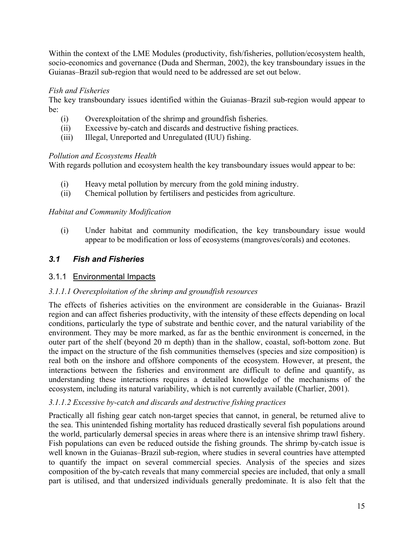Within the context of the LME Modules (productivity, fish/fisheries, pollution/ecosystem health, socio-economics and governance (Duda and Sherman, 2002), the key transboundary issues in the Guianas–Brazil sub-region that would need to be addressed are set out below.

#### *Fish and Fisheries*

The key transboundary issues identified within the Guianas–Brazil sub-region would appear to be:

- (i) Overexploitation of the shrimp and groundfish fisheries.
- (ii) Excessive by-catch and discards and destructive fishing practices.
- (iii) Illegal, Unreported and Unregulated (IUU) fishing.

#### *Pollution and Ecosystems Health*

With regards pollution and ecosystem health the key transboundary issues would appear to be:

- (i) Heavy metal pollution by mercury from the gold mining industry.
- (ii) Chemical pollution by fertilisers and pesticides from agriculture.

#### *Habitat and Community Modification*

(i) Under habitat and community modification, the key transboundary issue would appear to be modification or loss of ecosystems (mangroves/corals) and ecotones.

# *3.1 Fish and Fisheries*

# 3.1.1 Environmental Impacts

#### *3.1.1.1 Overexploitation of the shrimp and groundfish resources*

The effects of fisheries activities on the environment are considerable in the Guianas- Brazil region and can affect fisheries productivity, with the intensity of these effects depending on local conditions, particularly the type of substrate and benthic cover, and the natural variability of the environment. They may be more marked, as far as the benthic environment is concerned, in the outer part of the shelf (beyond 20 m depth) than in the shallow, coastal, soft-bottom zone. But the impact on the structure of the fish communities themselves (species and size composition) is real both on the inshore and offshore components of the ecosystem. However, at present, the interactions between the fisheries and environment are difficult to define and quantify, as understanding these interactions requires a detailed knowledge of the mechanisms of the ecosystem, including its natural variability, which is not currently available (Charlier, 2001).

#### *3.1.1.2 Excessive by-catch and discards and destructive fishing practices*

Practically all fishing gear catch non-target species that cannot, in general, be returned alive to the sea. This unintended fishing mortality has reduced drastically several fish populations around the world, particularly demersal species in areas where there is an intensive shrimp trawl fishery. Fish populations can even be reduced outside the fishing grounds. The shrimp by-catch issue is well known in the Guianas–Brazil sub-region, where studies in several countries have attempted to quantify the impact on several commercial species. Analysis of the species and sizes composition of the by-catch reveals that many commercial species are included, that only a small part is utilised, and that undersized individuals generally predominate. It is also felt that the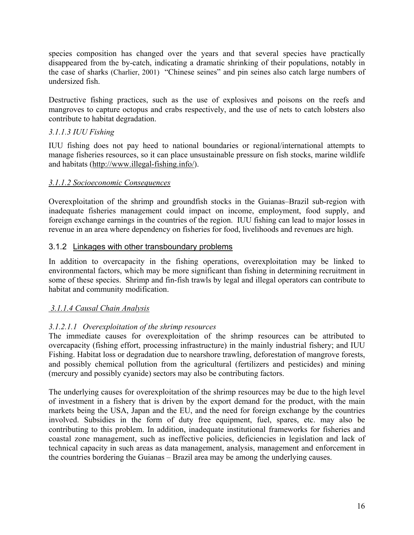species composition has changed over the years and that several species have practically disappeared from the by-catch, indicating a dramatic shrinking of their populations, notably in the case of sharks (Charlier, 2001) "Chinese seines" and pin seines also catch large numbers of undersized fish.

Destructive fishing practices, such as the use of explosives and poisons on the reefs and mangroves to capture octopus and crabs respectively, and the use of nets to catch lobsters also contribute to habitat degradation.

# *3.1.1.3 IUU Fishing*

IUU fishing does not pay heed to national boundaries or regional/international attempts to manage fisheries resources, so it can place unsustainable pressure on fish stocks, marine wildlife and habitats (http://www.illegal-fishing.info/).

#### *3.1.1.2 Socioeconomic Consequences*

Overexploitation of the shrimp and groundfish stocks in the Guianas–Brazil sub-region with inadequate fisheries management could impact on income, employment, food supply, and foreign exchange earnings in the countries of the region. IUU fishing can lead to major losses in revenue in an area where dependency on fisheries for food, livelihoods and revenues are high.

#### 3.1.2 Linkages with other transboundary problems

In addition to overcapacity in the fishing operations, overexploitation may be linked to environmental factors, which may be more significant than fishing in determining recruitment in some of these species. Shrimp and fin-fish trawls by legal and illegal operators can contribute to habitat and community modification.

#### *3.1.1.4 Causal Chain Analysis*

# *3.1.2.1.1 Overexploitation of the shrimp resources*

The immediate causes for overexploitation of the shrimp resources can be attributed to overcapacity (fishing effort, processing infrastructure) in the mainly industrial fishery; and IUU Fishing. Habitat loss or degradation due to nearshore trawling, deforestation of mangrove forests, and possibly chemical pollution from the agricultural (fertilizers and pesticides) and mining (mercury and possibly cyanide) sectors may also be contributing factors.

The underlying causes for overexploitation of the shrimp resources may be due to the high level of investment in a fishery that is driven by the export demand for the product, with the main markets being the USA, Japan and the EU, and the need for foreign exchange by the countries involved. Subsidies in the form of duty free equipment, fuel, spares, etc. may also be contributing to this problem. In addition, inadequate institutional frameworks for fisheries and coastal zone management, such as ineffective policies, deficiencies in legislation and lack of technical capacity in such areas as data management, analysis, management and enforcement in the countries bordering the Guianas – Brazil area may be among the underlying causes.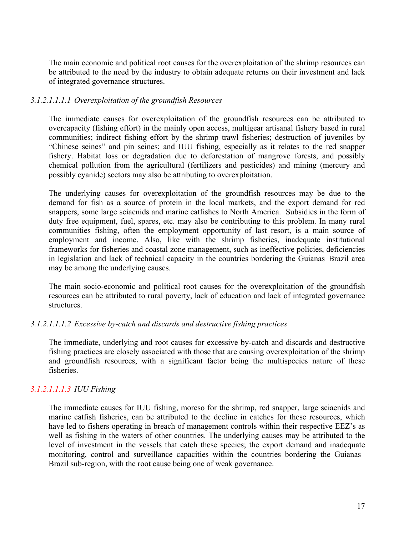The main economic and political root causes for the overexploitation of the shrimp resources can be attributed to the need by the industry to obtain adequate returns on their investment and lack of integrated governance structures.

#### *3.1.2.1.1.1.1 Overexploitation of the groundfish Resources*

The immediate causes for overexploitation of the groundfish resources can be attributed to overcapacity (fishing effort) in the mainly open access, multigear artisanal fishery based in rural communities; indirect fishing effort by the shrimp trawl fisheries; destruction of juveniles by "Chinese seines" and pin seines; and IUU fishing, especially as it relates to the red snapper fishery. Habitat loss or degradation due to deforestation of mangrove forests, and possibly chemical pollution from the agricultural (fertilizers and pesticides) and mining (mercury and possibly cyanide) sectors may also be attributing to overexploitation.

The underlying causes for overexploitation of the groundfish resources may be due to the demand for fish as a source of protein in the local markets, and the export demand for red snappers, some large sciaenids and marine catfishes to North America. Subsidies in the form of duty free equipment, fuel, spares, etc. may also be contributing to this problem. In many rural communities fishing, often the employment opportunity of last resort, is a main source of employment and income. Also, like with the shrimp fisheries, inadequate institutional frameworks for fisheries and coastal zone management, such as ineffective policies, deficiencies in legislation and lack of technical capacity in the countries bordering the Guianas–Brazil area may be among the underlying causes.

The main socio-economic and political root causes for the overexploitation of the groundfish resources can be attributed to rural poverty, lack of education and lack of integrated governance structures.

#### *3.1.2.1.1.1.2 Excessive by-catch and discards and destructive fishing practices*

The immediate, underlying and root causes for excessive by-catch and discards and destructive fishing practices are closely associated with those that are causing overexploitation of the shrimp and groundfish resources, with a significant factor being the multispecies nature of these fisheries.

# *3.1.2.1.1.1.3 IUU Fishing*

The immediate causes for IUU fishing, moreso for the shrimp, red snapper, large sciaenids and marine catfish fisheries, can be attributed to the decline in catches for these resources, which have led to fishers operating in breach of management controls within their respective EEZ's as well as fishing in the waters of other countries. The underlying causes may be attributed to the level of investment in the vessels that catch these species; the export demand and inadequate monitoring, control and surveillance capacities within the countries bordering the Guianas– Brazil sub-region, with the root cause being one of weak governance.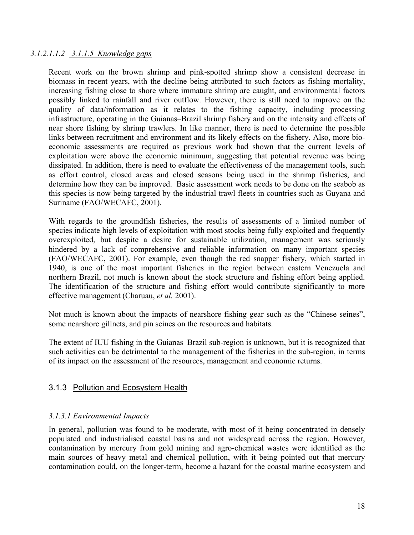#### *3.1.2.1.1.2 3.1.1.5 Knowledge gaps*

Recent work on the brown shrimp and pink-spotted shrimp show a consistent decrease in biomass in recent years, with the decline being attributed to such factors as fishing mortality, increasing fishing close to shore where immature shrimp are caught, and environmental factors possibly linked to rainfall and river outflow. However, there is still need to improve on the quality of data/information as it relates to the fishing capacity, including processing infrastructure, operating in the Guianas–Brazil shrimp fishery and on the intensity and effects of near shore fishing by shrimp trawlers. In like manner, there is need to determine the possible links between recruitment and environment and its likely effects on the fishery. Also, more bioeconomic assessments are required as previous work had shown that the current levels of exploitation were above the economic minimum, suggesting that potential revenue was being dissipated. In addition, there is need to evaluate the effectiveness of the management tools, such as effort control, closed areas and closed seasons being used in the shrimp fisheries, and determine how they can be improved. Basic assessment work needs to be done on the seabob as this species is now being targeted by the industrial trawl fleets in countries such as Guyana and Suriname (FAO/WECAFC, 2001).

With regards to the groundfish fisheries, the results of assessments of a limited number of species indicate high levels of exploitation with most stocks being fully exploited and frequently overexploited, but despite a desire for sustainable utilization, management was seriously hindered by a lack of comprehensive and reliable information on many important species (FAO/WECAFC, 2001). For example, even though the red snapper fishery, which started in 1940, is one of the most important fisheries in the region between eastern Venezuela and northern Brazil, not much is known about the stock structure and fishing effort being applied. The identification of the structure and fishing effort would contribute significantly to more effective management (Charuau, *et al.* 2001).

Not much is known about the impacts of nearshore fishing gear such as the "Chinese seines", some nearshore gillnets, and pin seines on the resources and habitats.

The extent of IUU fishing in the Guianas–Brazil sub-region is unknown, but it is recognized that such activities can be detrimental to the management of the fisheries in the sub-region, in terms of its impact on the assessment of the resources, management and economic returns.

#### 3.1.3 Pollution and Ecosystem Health

#### *3.1.3.1 Environmental Impacts*

In general, pollution was found to be moderate, with most of it being concentrated in densely populated and industrialised coastal basins and not widespread across the region. However, contamination by mercury from gold mining and agro-chemical wastes were identified as the main sources of heavy metal and chemical pollution, with it being pointed out that mercury contamination could, on the longer-term, become a hazard for the coastal marine ecosystem and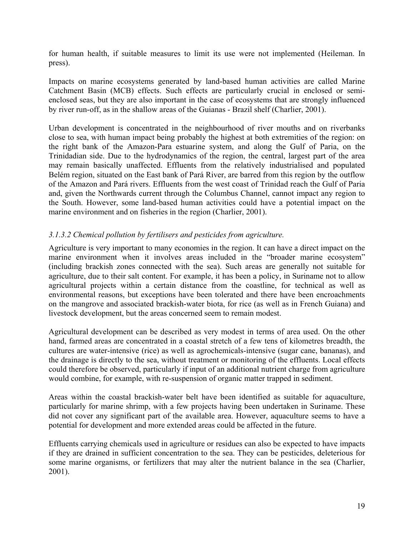for human health, if suitable measures to limit its use were not implemented (Heileman. In press).

Impacts on marine ecosystems generated by land-based human activities are called Marine Catchment Basin (MCB) effects. Such effects are particularly crucial in enclosed or semienclosed seas, but they are also important in the case of ecosystems that are strongly influenced by river run-off, as in the shallow areas of the Guianas - Brazil shelf (Charlier, 2001).

Urban development is concentrated in the neighbourhood of river mouths and on riverbanks close to sea, with human impact being probably the highest at both extremities of the region: on the right bank of the Amazon-Para estuarine system, and along the Gulf of Paria, on the Trinidadian side. Due to the hydrodynamics of the region, the central, largest part of the area may remain basically unaffected. Effluents from the relatively industrialised and populated Belém region, situated on the East bank of Pará River, are barred from this region by the outflow of the Amazon and Pará rivers. Effluents from the west coast of Trinidad reach the Gulf of Paria and, given the Northwards current through the Columbus Channel, cannot impact any region to the South. However, some land-based human activities could have a potential impact on the marine environment and on fisheries in the region (Charlier, 2001).

#### *3.1.3.2 Chemical pollution by fertilisers and pesticides from agriculture.*

Agriculture is very important to many economies in the region. It can have a direct impact on the marine environment when it involves areas included in the "broader marine ecosystem" (including brackish zones connected with the sea). Such areas are generally not suitable for agriculture, due to their salt content. For example, it has been a policy, in Suriname not to allow agricultural projects within a certain distance from the coastline, for technical as well as environmental reasons, but exceptions have been tolerated and there have been encroachments on the mangrove and associated brackish-water biota, for rice (as well as in French Guiana) and livestock development, but the areas concerned seem to remain modest.

Agricultural development can be described as very modest in terms of area used. On the other hand, farmed areas are concentrated in a coastal stretch of a few tens of kilometres breadth, the cultures are water-intensive (rice) as well as agrochemicals-intensive (sugar cane, bananas), and the drainage is directly to the sea, without treatment or monitoring of the effluents. Local effects could therefore be observed, particularly if input of an additional nutrient charge from agriculture would combine, for example, with re-suspension of organic matter trapped in sediment.

Areas within the coastal brackish-water belt have been identified as suitable for aquaculture, particularly for marine shrimp, with a few projects having been undertaken in Suriname. These did not cover any significant part of the available area. However, aquaculture seems to have a potential for development and more extended areas could be affected in the future.

Effluents carrying chemicals used in agriculture or residues can also be expected to have impacts if they are drained in sufficient concentration to the sea. They can be pesticides, deleterious for some marine organisms, or fertilizers that may alter the nutrient balance in the sea (Charlier, 2001).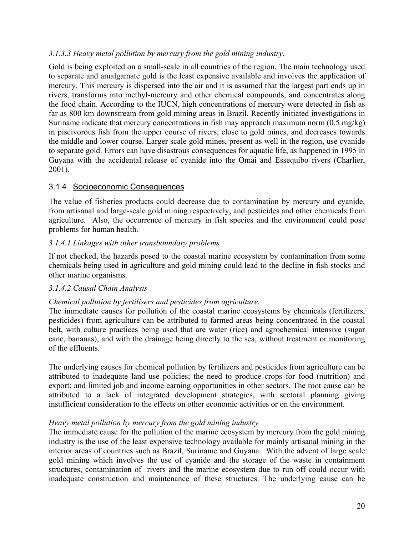#### *3.1.3.3 Heavy metal pollution by mercury from the gold mining industry.*

Gold is being exploited on a small-scale in all countries of the region. The main technology used to separate and amalgamate gold is the least expensive available and involves the application of mercury. This mercury is dispersed into the air and it is assumed that the largest part ends up in rivers, transforms into methyl-mercury and other chemical compounds, and concentrates along the food chain. According to the IUCN, high concentrations of mercury were detected in fish as far as 800 km downstream from gold mining areas in Brazil. Recently initiated investigations in Suriname indicate that mercury concentrations in fish may approach maximum norm (0.5 mg/kg) in piscivorous fish from the upper course of rivers, close to gold mines, and decreases towards the middle and lower course. Larger scale gold mines, present as well in the region, use cyanide to separate gold. Errors can have disastrous consequences for aquatic life, as happened in 1995 in Guyana with the accidental release of cyanide into the Omai and Essequibo rivers (Charlier, 2001).

#### 3.1.4 Socioeconomic Consequences

The value of fisheries products could decrease due to contamination by mercury and cyanide, from artisanal and large-scale gold mining respectively, and pesticides and other chemicals from agriculture. Also, the occurrence of mercury in fish species and the environment could pose problems for human health.

#### *3.1.4.1 Linkages with other transboundary problems*

If not checked, the hazards posed to the coastal marine ecosystem by contamination from some chemicals being used in agriculture and gold mining could lead to the decline in fish stocks and other marine organisms.

#### *3.1.4.2 Causal Chain Analysis*

# *Chemical pollution by fertilisers and pesticides from agriculture.*

The immediate causes for pollution of the coastal marine ecosystems by chemicals (fertilizers, pesticides) from agriculture can be attributed to farmed areas being concentrated in the coastal belt, with culture practices being used that are water (rice) and agrochemical intensive (sugar cane, bananas), and with the drainage being directly to the sea, without treatment or monitoring of the effluents.

The underlying causes for chemical pollution by fertilizers and pesticides from agriculture can be attributed to inadequate land use policies; the need to produce crops for food (nutrition) and export; and limited job and income earning opportunities in other sectors. The root cause can be attributed to a lack of integrated development strategies, with sectoral planning giving insufficient consideration to the effects on other economic activities or on the environment.

#### *Heavy metal pollution by mercury from the gold mining industry*

The immediate cause for the pollution of the marine ecosystem by mercury from the gold mining industry is the use of the least expensive technology available for mainly artisanal mining in the interior areas of countries such as Brazil, Suriname and Guyana. With the advent of large scale gold mining which involves the use of cyanide and the storage of the waste in containment structures, contamination of rivers and the marine ecosystem due to run off could occur with inadequate construction and maintenance of these structures. The underlying cause can be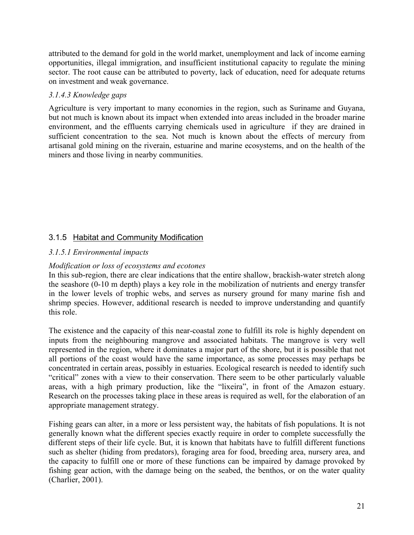attributed to the demand for gold in the world market, unemployment and lack of income earning opportunities, illegal immigration, and insufficient institutional capacity to regulate the mining sector. The root cause can be attributed to poverty, lack of education, need for adequate returns on investment and weak governance.

#### *3.1.4.3 Knowledge gaps*

Agriculture is very important to many economies in the region, such as Suriname and Guyana, but not much is known about its impact when extended into areas included in the broader marine environment, and the effluents carrying chemicals used in agriculture if they are drained in sufficient concentration to the sea. Not much is known about the effects of mercury from artisanal gold mining on the riverain, estuarine and marine ecosystems, and on the health of the miners and those living in nearby communities.

# 3.1.5 Habitat and Community Modification

#### *3.1.5.1 Environmental impacts*

### *Modification or loss of ecosystems and ecotones*

In this sub-region, there are clear indications that the entire shallow, brackish-water stretch along the seashore (0-10 m depth) plays a key role in the mobilization of nutrients and energy transfer in the lower levels of trophic webs, and serves as nursery ground for many marine fish and shrimp species. However, additional research is needed to improve understanding and quantify this role.

The existence and the capacity of this near-coastal zone to fulfill its role is highly dependent on inputs from the neighbouring mangrove and associated habitats. The mangrove is very well represented in the region, where it dominates a major part of the shore, but it is possible that not all portions of the coast would have the same importance, as some processes may perhaps be concentrated in certain areas, possibly in estuaries. Ecological research is needed to identify such "critical" zones with a view to their conservation. There seem to be other particularly valuable areas, with a high primary production, like the "lixeira", in front of the Amazon estuary. Research on the processes taking place in these areas is required as well, for the elaboration of an appropriate management strategy.

Fishing gears can alter, in a more or less persistent way, the habitats of fish populations. It is not generally known what the different species exactly require in order to complete successfully the different steps of their life cycle. But, it is known that habitats have to fulfill different functions such as shelter (hiding from predators), foraging area for food, breeding area, nursery area, and the capacity to fulfill one or more of these functions can be impaired by damage provoked by fishing gear action, with the damage being on the seabed, the benthos, or on the water quality (Charlier, 2001).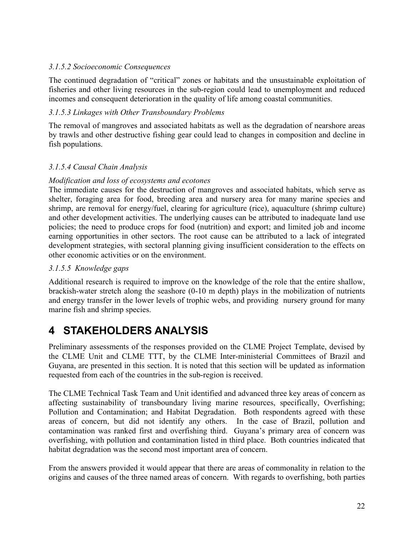#### *3.1.5.2 Socioeconomic Consequences*

The continued degradation of "critical" zones or habitats and the unsustainable exploitation of fisheries and other living resources in the sub-region could lead to unemployment and reduced incomes and consequent deterioration in the quality of life among coastal communities.

### *3.1.5.3 Linkages with Other Transboundary Problems*

The removal of mangroves and associated habitats as well as the degradation of nearshore areas by trawls and other destructive fishing gear could lead to changes in composition and decline in fish populations.

#### *3.1.5.4 Causal Chain Analysis*

#### *Modification and loss of ecosystems and ecotones*

The immediate causes for the destruction of mangroves and associated habitats, which serve as shelter, foraging area for food, breeding area and nursery area for many marine species and shrimp, are removal for energy/fuel, clearing for agriculture (rice), aquaculture (shrimp culture) and other development activities. The underlying causes can be attributed to inadequate land use policies; the need to produce crops for food (nutrition) and export; and limited job and income earning opportunities in other sectors. The root cause can be attributed to a lack of integrated development strategies, with sectoral planning giving insufficient consideration to the effects on other economic activities or on the environment.

#### *3.1.5.5 Knowledge gaps*

Additional research is required to improve on the knowledge of the role that the entire shallow, brackish-water stretch along the seashore (0-10 m depth) plays in the mobilization of nutrients and energy transfer in the lower levels of trophic webs, and providing nursery ground for many marine fish and shrimp species.

# **4 STAKEHOLDERS ANALYSIS**

Preliminary assessments of the responses provided on the CLME Project Template, devised by the CLME Unit and CLME TTT, by the CLME Inter-ministerial Committees of Brazil and Guyana, are presented in this section. It is noted that this section will be updated as information requested from each of the countries in the sub-region is received.

The CLME Technical Task Team and Unit identified and advanced three key areas of concern as affecting sustainability of transboundary living marine resources, specifically, Overfishing; Pollution and Contamination; and Habitat Degradation. Both respondents agreed with these areas of concern, but did not identify any others. In the case of Brazil, pollution and contamination was ranked first and overfishing third. Guyana's primary area of concern was overfishing, with pollution and contamination listed in third place. Both countries indicated that habitat degradation was the second most important area of concern.

From the answers provided it would appear that there are areas of commonality in relation to the origins and causes of the three named areas of concern. With regards to overfishing, both parties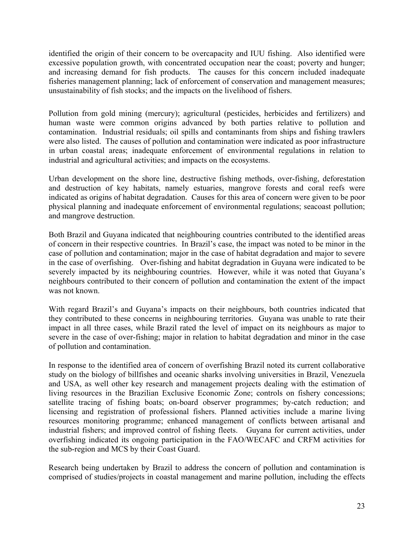identified the origin of their concern to be overcapacity and IUU fishing. Also identified were excessive population growth, with concentrated occupation near the coast; poverty and hunger; and increasing demand for fish products. The causes for this concern included inadequate fisheries management planning; lack of enforcement of conservation and management measures; unsustainability of fish stocks; and the impacts on the livelihood of fishers.

Pollution from gold mining (mercury); agricultural (pesticides, herbicides and fertilizers) and human waste were common origins advanced by both parties relative to pollution and contamination. Industrial residuals; oil spills and contaminants from ships and fishing trawlers were also listed. The causes of pollution and contamination were indicated as poor infrastructure in urban coastal areas; inadequate enforcement of environmental regulations in relation to industrial and agricultural activities; and impacts on the ecosystems.

Urban development on the shore line, destructive fishing methods, over-fishing, deforestation and destruction of key habitats, namely estuaries, mangrove forests and coral reefs were indicated as origins of habitat degradation. Causes for this area of concern were given to be poor physical planning and inadequate enforcement of environmental regulations; seacoast pollution; and mangrove destruction.

Both Brazil and Guyana indicated that neighbouring countries contributed to the identified areas of concern in their respective countries. In Brazil's case, the impact was noted to be minor in the case of pollution and contamination; major in the case of habitat degradation and major to severe in the case of overfishing. Over-fishing and habitat degradation in Guyana were indicated to be severely impacted by its neighbouring countries. However, while it was noted that Guyana's neighbours contributed to their concern of pollution and contamination the extent of the impact was not known.

With regard Brazil's and Guyana's impacts on their neighbours, both countries indicated that they contributed to these concerns in neighbouring territories. Guyana was unable to rate their impact in all three cases, while Brazil rated the level of impact on its neighbours as major to severe in the case of over-fishing; major in relation to habitat degradation and minor in the case of pollution and contamination.

In response to the identified area of concern of overfishing Brazil noted its current collaborative study on the biology of billfishes and oceanic sharks involving universities in Brazil, Venezuela and USA, as well other key research and management projects dealing with the estimation of living resources in the Brazilian Exclusive Economic Zone; controls on fishery concessions; satellite tracing of fishing boats; on-board observer programmes; by-catch reduction; and licensing and registration of professional fishers. Planned activities include a marine living resources monitoring programme; enhanced management of conflicts between artisanal and industrial fishers; and improved control of fishing fleets. Guyana for current activities, under overfishing indicated its ongoing participation in the FAO/WECAFC and CRFM activities for the sub-region and MCS by their Coast Guard.

Research being undertaken by Brazil to address the concern of pollution and contamination is comprised of studies/projects in coastal management and marine pollution, including the effects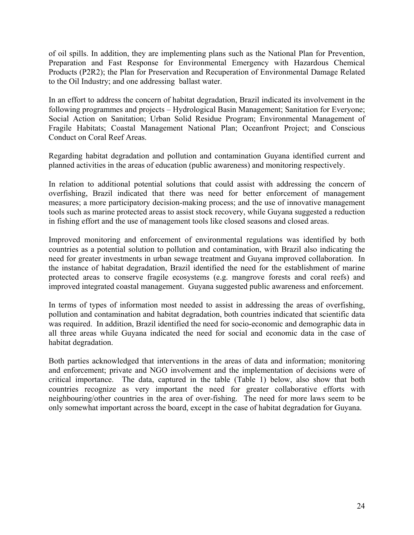of oil spills. In addition, they are implementing plans such as the National Plan for Prevention, Preparation and Fast Response for Environmental Emergency with Hazardous Chemical Products (P2R2); the Plan for Preservation and Recuperation of Environmental Damage Related to the Oil Industry; and one addressing ballast water.

In an effort to address the concern of habitat degradation, Brazil indicated its involvement in the following programmes and projects – Hydrological Basin Management; Sanitation for Everyone; Social Action on Sanitation; Urban Solid Residue Program; Environmental Management of Fragile Habitats; Coastal Management National Plan; Oceanfront Project; and Conscious Conduct on Coral Reef Areas.

Regarding habitat degradation and pollution and contamination Guyana identified current and planned activities in the areas of education (public awareness) and monitoring respectively.

In relation to additional potential solutions that could assist with addressing the concern of overfishing, Brazil indicated that there was need for better enforcement of management measures; a more participatory decision-making process; and the use of innovative management tools such as marine protected areas to assist stock recovery, while Guyana suggested a reduction in fishing effort and the use of management tools like closed seasons and closed areas.

Improved monitoring and enforcement of environmental regulations was identified by both countries as a potential solution to pollution and contamination, with Brazil also indicating the need for greater investments in urban sewage treatment and Guyana improved collaboration. In the instance of habitat degradation, Brazil identified the need for the establishment of marine protected areas to conserve fragile ecosystems (e.g. mangrove forests and coral reefs) and improved integrated coastal management. Guyana suggested public awareness and enforcement.

In terms of types of information most needed to assist in addressing the areas of overfishing, pollution and contamination and habitat degradation, both countries indicated that scientific data was required. In addition, Brazil identified the need for socio-economic and demographic data in all three areas while Guyana indicated the need for social and economic data in the case of habitat degradation.

Both parties acknowledged that interventions in the areas of data and information; monitoring and enforcement; private and NGO involvement and the implementation of decisions were of critical importance. The data, captured in the table (Table 1) below, also show that both countries recognize as very important the need for greater collaborative efforts with neighbouring/other countries in the area of over-fishing. The need for more laws seem to be only somewhat important across the board, except in the case of habitat degradation for Guyana.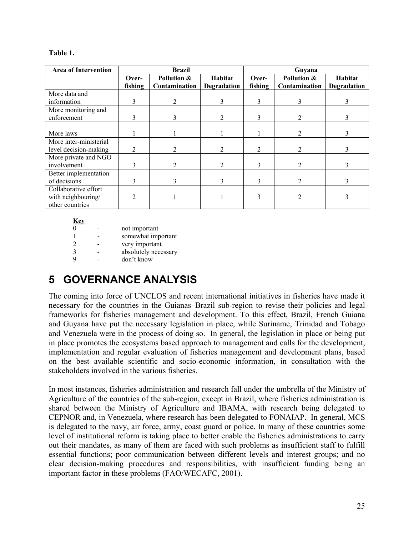| <b>Area of Intervention</b>                                   | <b>Brazil</b>    |                              |                        | Guyana           |                              |                               |
|---------------------------------------------------------------|------------------|------------------------------|------------------------|------------------|------------------------------|-------------------------------|
|                                                               | Over-<br>fishing | Pollution &<br>Contamination | Habitat<br>Degradation | Over-<br>fishing | Pollution &<br>Contamination | Habitat<br><b>Degradation</b> |
| More data and                                                 |                  |                              |                        |                  |                              |                               |
| information                                                   | 3                |                              |                        |                  |                              |                               |
| More monitoring and<br>enforcement                            | 3                | 3                            |                        |                  |                              |                               |
| More laws                                                     |                  |                              |                        |                  | $\mathfrak{D}$               |                               |
| More inter-ministerial<br>level decision-making               | 2                |                              | $\overline{2}$         | 2                | $\mathcal{L}$                |                               |
| More private and NGO<br>involvement                           | 3                | $\mathcal{D}_{\mathcal{L}}$  | $\overline{2}$         |                  | $\overline{2}$               |                               |
| Better implementation<br>of decisions                         | 3                | 3                            | $\mathbf{3}$           | 3                |                              |                               |
| Collaborative effort<br>with neighbouring/<br>other countries |                  |                              |                        |                  |                              |                               |

| Table |
|-------|
|-------|

| Key |                      |
|-----|----------------------|
| 0   | not important        |
| 1   | somewhat important   |
| 2   | very important       |
| 3   | absolutely necessary |
| 9   | don't know           |
|     |                      |

# **5 GOVERNANCE ANALYSIS**

The coming into force of UNCLOS and recent international initiatives in fisheries have made it necessary for the countries in the Guianas–Brazil sub-region to revise their policies and legal frameworks for fisheries management and development. To this effect, Brazil, French Guiana and Guyana have put the necessary legislation in place, while Suriname, Trinidad and Tobago and Venezuela were in the process of doing so. In general, the legislation in place or being put in place promotes the ecosystems based approach to management and calls for the development, implementation and regular evaluation of fisheries management and development plans, based on the best available scientific and socio-economic information, in consultation with the stakeholders involved in the various fisheries.

In most instances, fisheries administration and research fall under the umbrella of the Ministry of Agriculture of the countries of the sub-region, except in Brazil, where fisheries administration is shared between the Ministry of Agriculture and IBAMA, with research being delegated to CEPNOR and, in Venezuela, where research has been delegated to FONAIAP. In general, MCS is delegated to the navy, air force, army, coast guard or police. In many of these countries some level of institutional reform is taking place to better enable the fisheries administrations to carry out their mandates, as many of them are faced with such problems as insufficient staff to fulfill essential functions; poor communication between different levels and interest groups; and no clear decision-making procedures and responsibilities, with insufficient funding being an important factor in these problems (FAO/WECAFC, 2001).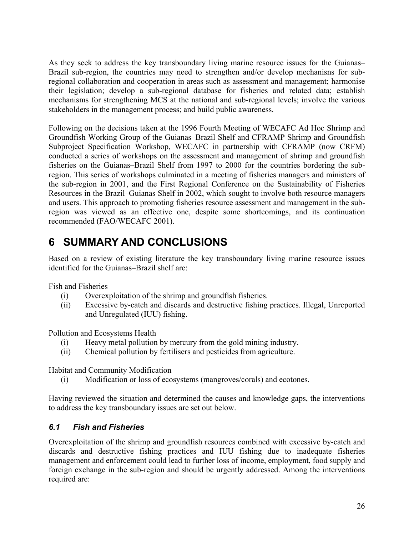As they seek to address the key transboundary living marine resource issues for the Guianas– Brazil sub-region, the countries may need to strengthen and/or develop mechanisns for subregional collaboration and cooperation in areas such as assessment and management; harmonise their legislation; develop a sub-regional database for fisheries and related data; establish mechanisms for strengthening MCS at the national and sub-regional levels; involve the various stakeholders in the management process; and build public awareness.

Following on the decisions taken at the 1996 Fourth Meeting of WECAFC Ad Hoc Shrimp and Groundfish Working Group of the Guianas–Brazil Shelf and CFRAMP Shrimp and Groundfish Subproject Specification Workshop, WECAFC in partnership with CFRAMP (now CRFM) conducted a series of workshops on the assessment and management of shrimp and groundfish fisheries on the Guianas–Brazil Shelf from 1997 to 2000 for the countries bordering the subregion. This series of workshops culminated in a meeting of fisheries managers and ministers of the sub-region in 2001, and the First Regional Conference on the Sustainability of Fisheries Resources in the Brazil–Guianas Shelf in 2002, which sought to involve both resource managers and users. This approach to promoting fisheries resource assessment and management in the subregion was viewed as an effective one, despite some shortcomings, and its continuation recommended (FAO/WECAFC 2001).

# **6 SUMMARY AND CONCLUSIONS**

Based on a review of existing literature the key transboundary living marine resource issues identified for the Guianas–Brazil shelf are:

Fish and Fisheries

- (i) Overexploitation of the shrimp and groundfish fisheries.
- (ii) Excessive by-catch and discards and destructive fishing practices. Illegal, Unreported and Unregulated (IUU) fishing.

Pollution and Ecosystems Health

- (i) Heavy metal pollution by mercury from the gold mining industry.
- (ii) Chemical pollution by fertilisers and pesticides from agriculture.

Habitat and Community Modification

(i) Modification or loss of ecosystems (mangroves/corals) and ecotones.

Having reviewed the situation and determined the causes and knowledge gaps, the interventions to address the key transboundary issues are set out below.

# *6.1 Fish and Fisheries*

Overexploitation of the shrimp and groundfish resources combined with excessive by-catch and discards and destructive fishing practices and IUU fishing due to inadequate fisheries management and enforcement could lead to further loss of income, employment, food supply and foreign exchange in the sub-region and should be urgently addressed. Among the interventions required are: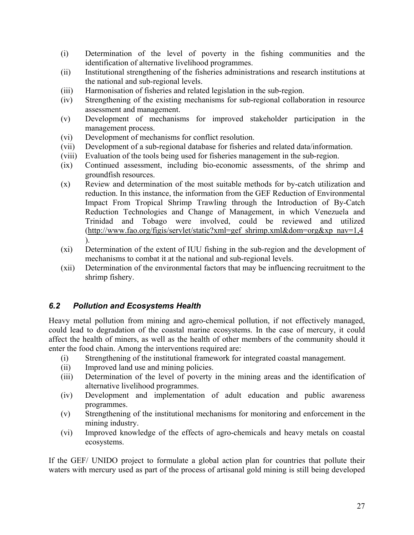- (i) Determination of the level of poverty in the fishing communities and the identification of alternative livelihood programmes.
- (ii) Institutional strengthening of the fisheries administrations and research institutions at the national and sub-regional levels.
- (iii) Harmonisation of fisheries and related legislation in the sub-region.
- (iv) Strengthening of the existing mechanisms for sub-regional collaboration in resource assessment and management.
- (v) Development of mechanisms for improved stakeholder participation in the management process.
- (vi) Development of mechanisms for conflict resolution.
- (vii) Development of a sub-regional database for fisheries and related data/information.
- (viii) Evaluation of the tools being used for fisheries management in the sub-region.
- (ix) Continued assessment, including bio-economic assessments, of the shrimp and groundfish resources.
- (x) Review and determination of the most suitable methods for by-catch utilization and reduction. In this instance, the information from the GEF Reduction of Environmental Impact From Tropical Shrimp Trawling through the Introduction of By-Catch Reduction Technologies and Change of Management, in which Venezuela and Trinidad and Tobago were involved, could be reviewed and utilized (http://www.fao.org/figis/servlet/static?xml=gef\_shrimp.xml&dom=org&xp\_nav=1,4 ).
- (xi) Determination of the extent of IUU fishing in the sub-region and the development of mechanisms to combat it at the national and sub-regional levels.
- (xii) Determination of the environmental factors that may be influencing recruitment to the shrimp fishery.

#### *6.2 Pollution and Ecosystems Health*

Heavy metal pollution from mining and agro-chemical pollution, if not effectively managed, could lead to degradation of the coastal marine ecosystems. In the case of mercury, it could affect the health of miners, as well as the health of other members of the community should it enter the food chain. Among the interventions required are:

- (i) Strengthening of the institutional framework for integrated coastal management.
- (ii) Improved land use and mining policies.
- (iii) Determination of the level of poverty in the mining areas and the identification of alternative livelihood programmes.
- (iv) Development and implementation of adult education and public awareness programmes.
- (v) Strengthening of the institutional mechanisms for monitoring and enforcement in the mining industry.
- (vi) Improved knowledge of the effects of agro-chemicals and heavy metals on coastal ecosystems.

If the GEF/ UNIDO project to formulate a global action plan for countries that pollute their waters with mercury used as part of the process of artisanal gold mining is still being developed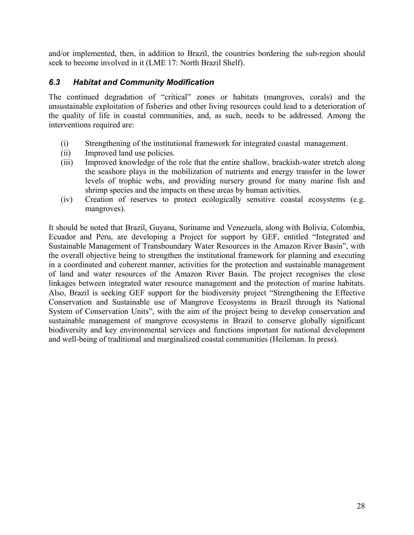and/or implemented, then, in addition to Brazil, the countries bordering the sub-region should seek to become involved in it (LME 17: North Brazil Shelf).

### *6.3 Habitat and Community Modification*

The continued degradation of "critical" zones or habitats (mangroves, corals) and the unsustainable exploitation of fisheries and other living resources could lead to a deterioration of the quality of life in coastal communities, and, as such, needs to be addressed. Among the interventions required are:

- (i) Strengthening of the institutional framework for integrated coastal management.
- (ii) Improved land use policies.
- (iii) Improved knowledge of the role that the entire shallow, brackish-water stretch along the seashore plays in the mobilization of nutrients and energy transfer in the lower levels of trophic webs, and providing nursery ground for many marine fish and shrimp species and the impacts on these areas by human activities.
- (iv) Creation of reserves to protect ecologically sensitive coastal ecosystems (e.g. mangroves).

It should be noted that Brazil, Guyana, Suriname and Venezuela, along with Bolivia, Colombia, Ecuador and Peru, are developing a Project for support by GEF, entitled "Integrated and Sustainable Management of Transboundary Water Resources in the Amazon River Basin", with the overall objective being to strengthen the institutional framework for planning and executing in a coordinated and coherent manner, activities for the protection and sustainable management of land and water resources of the Amazon River Basin. The project recognises the close linkages between integrated water resource management and the protection of marine habitats. Also, Brazil is seeking GEF support for the biodiversity project "Strengthening the Effective Conservation and Sustainable use of Mangrove Ecosystems in Brazil through its National System of Conservation Units", with the aim of the project being to develop conservation and sustainable management of mangrove ecosystems in Brazil to conserve globally significant biodiversity and key environmental services and functions important for national development and well-being of traditional and marginalized coastal communities (Heileman. In press).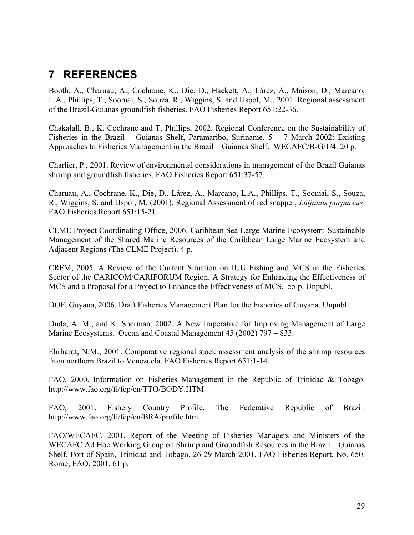# **7 REFERENCES**

Booth, A., Charuau, A., Cochrane, K., Die, D., Hackett, A., Lárez, A., Maison, D., Marcano, L.A., Phillips, T., Soomai, S., Souza, R., Wiggins, S. and IJspol, M., 2001. Regional assessment of the Brazil-Guianas groundfish fisheries. FAO Fisheries Report 651:22-36.

Chakalall, B., K. Cochrane and T. Phillips, 2002. Regional Conference on the Sustainability of Fisheries in the Brazil – Guianas Shelf, Paramaribo, Suriname,  $5 - 7$  March 2002: Existing Approaches to Fisheries Management in the Brazil – Guianas Shelf. WECAFC/B-G/1/4. 20 p.

Charlier, P., 2001. Review of environmental considerations in management of the Brazil Guianas shrimp and groundfish fisheries. FAO Fisheries Report 651:37-57.

Charuau, A., Cochrane, K., Die, D., Lárez, A., Marcano, L.A., Phillips, T., Soomai, S., Souza, R., Wiggins, S. and IJspol, M. (2001). Regional Assessment of red snapper, *Lutjanus purpureus*. FAO Fisheries Report 651:15-21.

CLME Project Coordinating Office, 2006. Caribbean Sea Large Marine Ecosystem: Sustainable Management of the Shared Marine Resources of the Caribbean Large Marine Ecosystem and Adjacent Regions (The CLME Project). 4 p.

CRFM, 2005. A Review of the Current Situation on IUU Fishing and MCS in the Fisheries Sector of the CARICOM/CARIFORUM Region. A Strategy for Enhancing the Effectiveness of MCS and a Proposal for a Project to Enhance the Effectiveness of MCS. 55 p. Unpubl.

DOF, Guyana, 2006. Draft Fisheries Management Plan for the Fisheries of Guyana. Unpubl.

Duda, A. M., and K. Sherman, 2002. A New Imperative for Improving Management of Large Marine Ecosystems. Ocean and Coastal Management 45 (2002) 797 – 833.

Ehrhardt, N.M., 2001. Comparative regional stock assessment analysis of the shrimp resources from northern Brazil to Venezuela. FAO Fisheries Report 651:1-14.

FAO, 2000. Information on Fisheries Management in the Republic of Trinidad & Tobago. http://www.fao.org/fi/fcp/en/TTO/BODY.HTM

FAO, 2001. Fishery Country Profile. The Federative Republic of Brazil. http://www.fao.org/fi/fcp/en/BRA/profile.htm.

FAO/WECAFC, 2001. Report of the Meeting of Fisheries Managers and Ministers of the WECAFC Ad Hoc Working Group on Shrimp and Groundfish Resources in the Brazil – Guianas Shelf. Port of Spain, Trinidad and Tobago, 26-29 March 2001. FAO Fisheries Report. No. 650. Rome, FAO. 2001. 61 p.